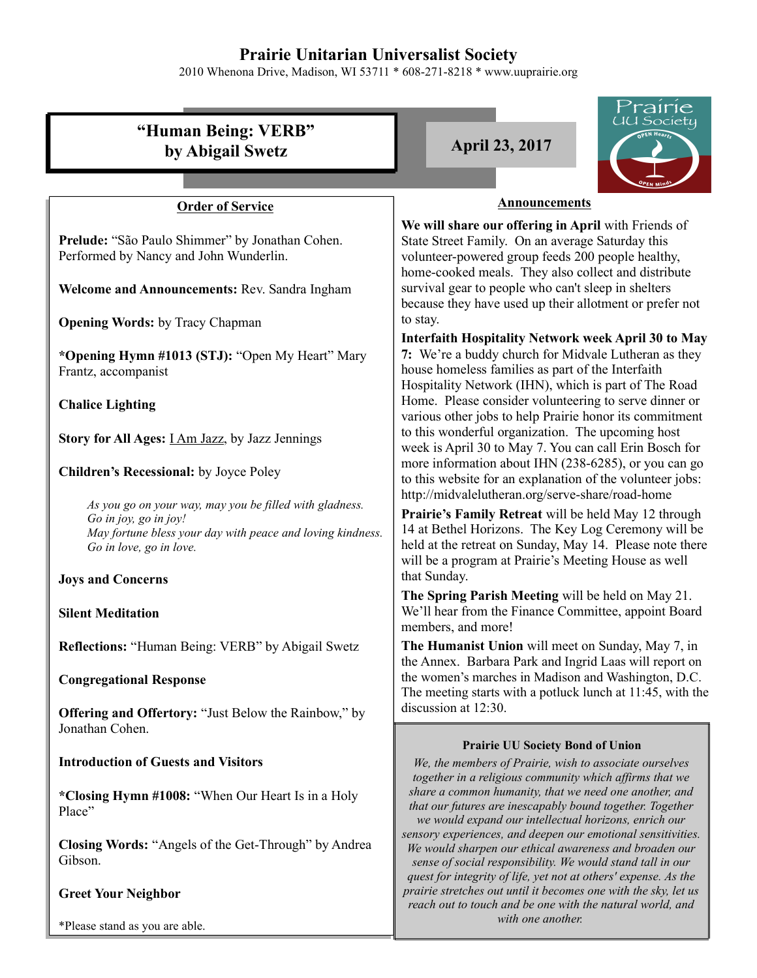# **Prairie Unitarian Universalist Society**

2010 Whenona Drive, Madison, WI 53711 \* 608-271-8218 \* www.uuprairie.org

| rairie<br><u>UU Society</u>                                                                                                                                               |                                                                                                                                                                                                                                                                                     |  |
|---------------------------------------------------------------------------------------------------------------------------------------------------------------------------|-------------------------------------------------------------------------------------------------------------------------------------------------------------------------------------------------------------------------------------------------------------------------------------|--|
| "Human Being: VERB"<br>by Abigail Swetz                                                                                                                                   | EN Heart<br><b>April 23, 2017</b>                                                                                                                                                                                                                                                   |  |
|                                                                                                                                                                           | <b>Announcements</b>                                                                                                                                                                                                                                                                |  |
| <b>Order of Service</b>                                                                                                                                                   |                                                                                                                                                                                                                                                                                     |  |
| Prelude: "São Paulo Shimmer" by Jonathan Cohen.<br>Performed by Nancy and John Wunderlin.                                                                                 | We will share our offering in April with Friends of<br>State Street Family. On an average Saturday this<br>volunteer-powered group feeds 200 people healthy,<br>home-cooked meals. They also collect and distribute                                                                 |  |
| Welcome and Announcements: Rev. Sandra Ingham                                                                                                                             | survival gear to people who can't sleep in shelters<br>because they have used up their allotment or prefer not                                                                                                                                                                      |  |
| <b>Opening Words:</b> by Tracy Chapman                                                                                                                                    | to stay.                                                                                                                                                                                                                                                                            |  |
| *Opening Hymn #1013 (STJ): "Open My Heart" Mary<br>Frantz, accompanist                                                                                                    | <b>Interfaith Hospitality Network week April 30 to May</b><br>7: We're a buddy church for Midvale Lutheran as they<br>house homeless families as part of the Interfaith<br>Hospitality Network (IHN), which is part of The Road                                                     |  |
| <b>Chalice Lighting</b>                                                                                                                                                   | Home. Please consider volunteering to serve dinner or                                                                                                                                                                                                                               |  |
| Story for All Ages: <i>I Am Jazz</i> , by Jazz Jennings                                                                                                                   | various other jobs to help Prairie honor its commitment<br>to this wonderful organization. The upcoming host<br>week is April 30 to May 7. You can call Erin Bosch for                                                                                                              |  |
| Children's Recessional: by Joyce Poley                                                                                                                                    | more information about IHN (238-6285), or you can go<br>to this website for an explanation of the volunteer jobs:                                                                                                                                                                   |  |
| As you go on your way, may you be filled with gladness.<br>Go in joy, go in joy!<br>May fortune bless your day with peace and loving kindness.<br>Go in love, go in love. | http://midvalelutheran.org/serve-share/road-home<br>Prairie's Family Retreat will be held May 12 through<br>14 at Bethel Horizons. The Key Log Ceremony will be<br>held at the retreat on Sunday, May 14. Please note there<br>will be a program at Prairie's Meeting House as well |  |
| <b>Joys and Concerns</b>                                                                                                                                                  | that Sunday.                                                                                                                                                                                                                                                                        |  |
| <b>Silent Meditation</b>                                                                                                                                                  | The Spring Parish Meeting will be held on May 21.<br>We'll hear from the Finance Committee, appoint Board<br>members, and more!                                                                                                                                                     |  |
| Reflections: "Human Being: VERB" by Abigail Swetz                                                                                                                         | The Humanist Union will meet on Sunday, May 7, in<br>the Annex. Barbara Park and Ingrid Laas will report on                                                                                                                                                                         |  |
| <b>Congregational Response</b>                                                                                                                                            | the women's marches in Madison and Washington, D.C.<br>The meeting starts with a potluck lunch at 11:45, with the                                                                                                                                                                   |  |
| <b>Offering and Offertory:</b> "Just Below the Rainbow," by<br>Jonathan Cohen.                                                                                            | discussion at 12:30.                                                                                                                                                                                                                                                                |  |
| <b>Introduction of Guests and Visitors</b>                                                                                                                                | <b>Prairie UU Society Bond of Union</b><br>We, the members of Prairie, wish to associate ourselves<br>together in a religious community which affirms that we                                                                                                                       |  |
| *Closing Hymn #1008: "When Our Heart Is in a Holy<br>Place"                                                                                                               | share a common humanity, that we need one another, and<br>that our futures are inescapably bound together. Together<br>we would expand our intellectual horizons, enrich our                                                                                                        |  |
| <b>Closing Words: "Angels of the Get-Through"</b> by Andrea<br>Gibson.                                                                                                    | sensory experiences, and deepen our emotional sensitivities.<br>We would sharpen our ethical awareness and broaden our<br>sense of social responsibility. We would stand tall in our<br>quest for integrity of life, yet not at others' expense. As the                             |  |
| <b>Greet Your Neighbor</b>                                                                                                                                                | prairie stretches out until it becomes one with the sky, let us<br>reach out to touch and be one with the natural world, and                                                                                                                                                        |  |

*with one another.* 

\*Please stand as you are able.